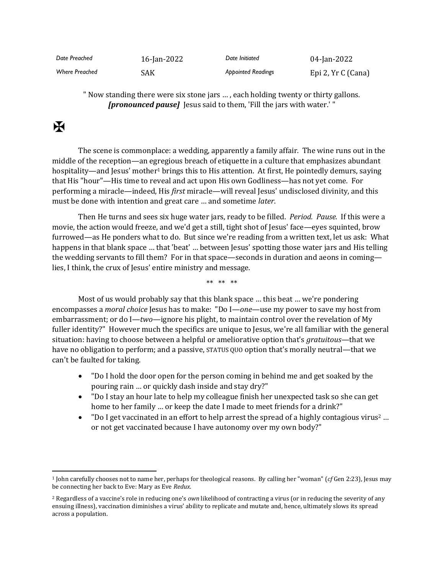| Date Preached         | 16-Jan-2022 | Date Initiated            | 04-Jan-2022        |
|-----------------------|-------------|---------------------------|--------------------|
| <b>Where Preached</b> | SAK         | <b>Abbointed Readings</b> | Epi 2, Yr C (Cana) |

" Now standing there were six stone jars … , each holding twenty or thirty gallons. *[pronounced pause]* Jesus said to them, 'Fill the jars with water.' "

## $\mathbf F$

The scene is commonplace: a wedding, apparently a family affair. The wine runs out in the middle of the reception—an egregious breach of etiquette in a culture that emphasizes abundant hospitality—and Jesus' mother<sup>1</sup> brings this to His attention. At first, He pointedly demurs, saying that His "hour"—His time to reveal and act upon His own Godliness—has not yet come. For performing a miracle—indeed, His *first* miracle—will reveal Jesus' undisclosed divinity, and this must be done with intention and great care … and sometime *later*.

Then He turns and sees six huge water jars, ready to be filled. *Period. Pause.* If this were a movie, the action would freeze, and we'd get a still, tight shot of Jesus' face—eyes squinted, brow furrowed—as He ponders what to do. But since we're reading from a written text, let us ask: What happens in that blank space … that 'beat' … between Jesus' spotting those water jars and His telling the wedding servants to fill them? For in that space—seconds in duration and aeons in coming lies, I think, the crux of Jesus' entire ministry and message.

\*\* \*\* \*\*

Most of us would probably say that this blank space … this beat … we're pondering encompasses a *moral choice* Jesus has to make: "Do I—*one*—use my power to save my host from embarrassment; or do I—*two*—ignore his plight, to maintain control over the revelation of My fuller identity?" However much the specifics are unique to Jesus, we're all familiar with the general situation: having to choose between a helpful or ameliorative option that's *gratuitous*—that we have no obligation to perform; and a passive, STATUS QUO option that's morally neutral—that we can't be faulted for taking.

- "Do I hold the door open for the person coming in behind me and get soaked by the pouring rain … or quickly dash inside and stay dry?"
- "Do I stay an hour late to help my colleague finish her unexpected task so she can get home to her family ... or keep the date I made to meet friends for a drink?"
- To I get vaccinated in an effort to help arrest the spread of a highly contagious virus<sup>2</sup> ... or not get vaccinated because I have autonomy over my own body?"

<sup>1</sup> John carefully chooses not to name her, perhaps for theological reasons. By calling her "woman" (*cf* Gen 2:23), Jesus may be connecting her back to Eve: Mary as Eve *Redux*.

<sup>2</sup> Regardless of a vaccine's role in reducing one's *own* likelihood of contracting a virus (or in reducing the severity of any ensuing illness), vaccination diminishes a virus' ability to replicate and mutate and, hence, ultimately slows its spread across a population.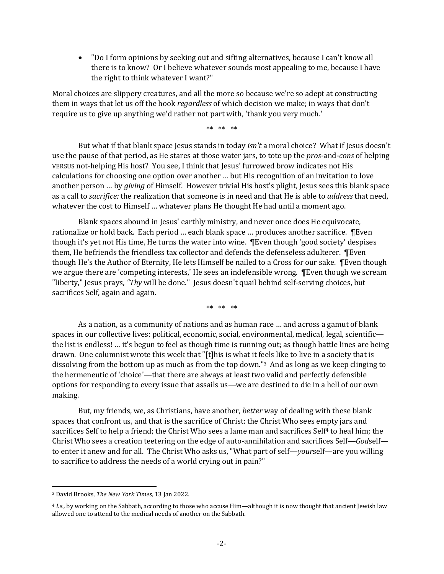• "Do I form opinions by seeking out and sifting alternatives, because I can't know all there is to know? Or I believe whatever sounds most appealing to me, because I have the right to think whatever I want?"

Moral choices are slippery creatures, and all the more so because we're so adept at constructing them in ways that let us off the hook *regardless* of which decision we make; in ways that don't require us to give up anything we'd rather not part with, 'thank you very much.'

\*\* \*\* \*\*

But what if that blank space Jesus stands in today *isn't* a moral choice? What if Jesus doesn't use the pause of that period, as He stares at those water jars, to tote up the *pros*-and-*cons* of helping VERSUS not-helping His host? You see, I think that Jesus' furrowed brow indicates not His calculations for choosing one option over another … but His recognition of an invitation to love another person … by *giving* of Himself. However trivial His host's plight, Jesus sees this blank space as a call to *sacrifice:* the realization that someone is in need and that He is able to *address* that need, whatever the cost to Himself … whatever plans He thought He had until a moment ago.

Blank spaces abound in Jesus' earthly ministry, and never once does He equivocate, rationalize or hold back. Each period … each blank space … produces another sacrifice. ¶Even though it's yet not His time, He turns the water into wine. ¶Even though 'good society' despises them, He befriends the friendless tax collector and defends the defenseless adulterer. ¶Even though He's the Author of Eternity, He lets Himself be nailed to a Cross for our sake. ¶Even though we argue there are 'competing interests,' He sees an indefensible wrong. ¶Even though we scream "liberty," Jesus prays, *"Thy* will be done." Jesus doesn't quail behind self-serving choices, but sacrifices Self, again and again.

\*\* \*\* \*\*

As a nation, as a community of nations and as human race … and across a gamut of blank spaces in our collective lives: political, economic, social, environmental, medical, legal, scientificthe list is endless! … it's begun to feel as though time is running out; as though battle lines are being drawn. One columnist wrote this week that "[t]his is what it feels like to live in a society that is dissolving from the bottom up as much as from the top down."<sup>3</sup> And as long as we keep clinging to the hermeneutic of 'choice'—that there are always at least two valid and perfectly defensible options for responding to every issue that assails us—we are destined to die in a hell of our own making.

But, my friends, we, as Christians, have another, *better* way of dealing with these blank spaces that confront us, and that is the sacrifice of Christ: the Christ Who sees empty jars and sacrifices Self to help a friend; the Christ Who sees a lame man and sacrifices Self<sup>4</sup> to heal him; the Christ Who sees a creation teetering on the edge of auto-annihilation and sacrifices Self—*God*self to enter it anew and for all. The Christ Who asks us, "What part of self—*your*self—are you willing to sacrifice to address the needs of a world crying out in pain?"

<sup>3</sup> David Brooks, *The New York Times,* 13 Jan 2022.

<sup>4</sup> *I.e.,* by working on the Sabbath, according to those who accuse Him—although it is now thought that ancient Jewish law allowed one to attend to the medical needs of another on the Sabbath.